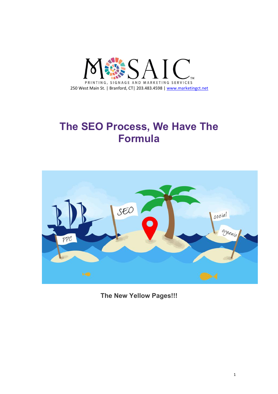

# **The SEO Process, We Have The Formula**



**The New Yellow Pages!!!**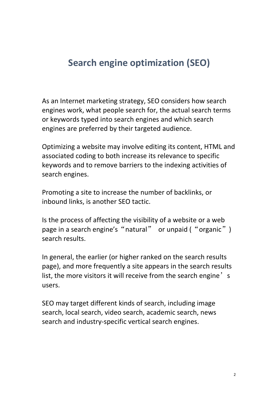## **Search engine [optimization](https://www.marketingct.net/strategic-market-planning) (SEO)**

As an Internet marketing strategy, SEO considers how search engines work, what people search for, the actual search terms or keywords typed into search engines and which search engines are preferred by their targeted audience.

Optimizing a website may involve editing its content, HTML and associated coding to both increase its relevance to specific keywords and to remove barriers to the indexing activities of search engines.

Promoting a site to increase the number of backlinks, or inbound links, is another SEO tactic.

Is the process of affecting the visibility of a website or a web page in a search engine's "natural" or unpaid ("organic") search results.

In general, the earlier (or higher ranked on the search results page), and more frequently a site appears in the search results list, the more visitors it will receive from the search engine's users.

SEO may target different kinds of search, including image search, local search, video search, academic search, news search and industry-specific vertical search engines.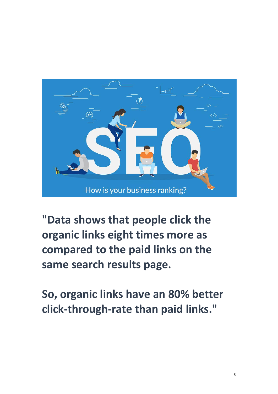

**"Data shows that people click the organic links eight times more as compared to the paid links on the**

**same search results page.So, organic links have an 80% better click-through-rate than paid links."**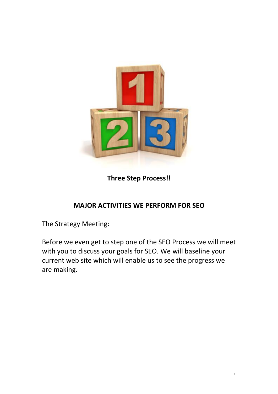

**Three Step Process!!**

#### **MAJOR ACTIVITIES WE PERFORM FOR SEO**

The Strategy Meeting:

Before we even get to step one of the SEO Process we will meet with you to discuss your goals for SEO. We will baseline your current web site which will enable us to see the progress we are making.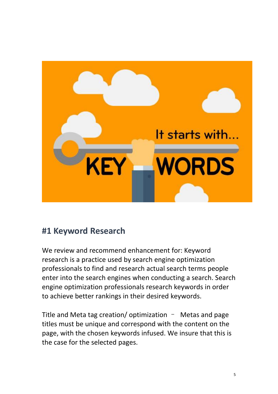

#### **#1 Keyword Research**

We review and recommend enhancement for: Keyword research is a practice used by search engine optimization professionals to find and research actual search terms people enter into the search engines when conducting a search. Search engine optimization professionals research keywords in order to achieve better rankings in their desired keywords.

Title and Meta tag creation/ optimization  $-$  Metas and page titles must be unique and correspond with the content on the page, with the chosen keywords infused. We insure that this is the case for the selected pages.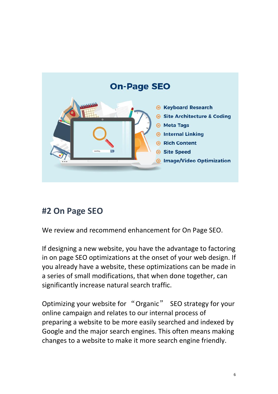

## **#2 On Page SEO**

We review and recommend enhancement for On Page SEO.

If designing a new website, you have the advantage to factoring in on page SEO optimizations at the onset of your web design. If you already have a website, these optimizations can be made in a series of small modifications, that when done together, can significantly increase natural search traffic.

Optimizing your website for "Organic" SEO strategy for your online campaign and relates to our internal process of preparing a website to be more easily searched and indexed by Google and the major search engines. This often means making changes to a website to make it more search engine friendly.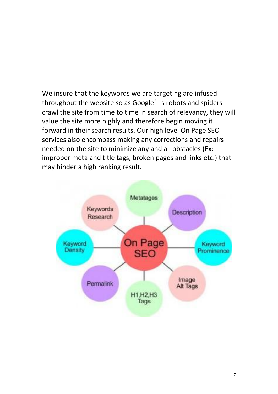We insure that the keywords we are targeting are infused throughout the website so as Google's robots and spiders crawl the site from time to time in search of relevancy, they will value the site more highly and therefore begin moving it forward in their search results. Our high level On Page SEO services also encompass making any corrections and repairs needed on the site to minimize any and all obstacles (Ex: improper meta and title tags, broken pages and links etc.) that may hinder a high ranking result.

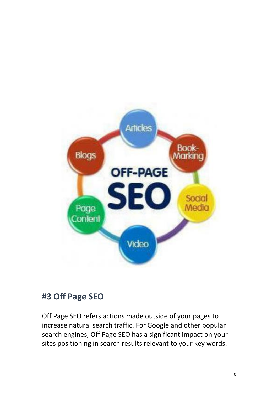

### **#3 Off Page SEO**

Off Page SEO refers actions made outside of your pages to increase natural search traffic. For Google and other popular search engines, Off Page SEO has a significant impact on your sites positioning in search results relevant to your key words.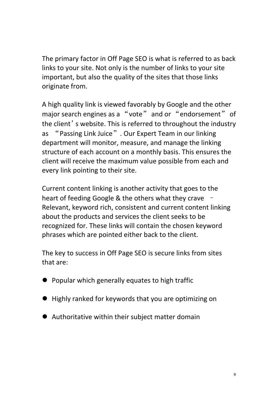The primary factor in Off Page SEO is what is referred to as back links to your site. Not only is the [number](https://www.marketingct.net/strategic-market-planning) of links to your site important, but also the quality of the sites that those links originate from.

A high quality link is viewed favorably by Google and the other major search engines as a "vote" and or "endorsement" of the client's website. This is referred to throughout the industry as "Passing Link Juice". Our Expert Team in our linking department will monitor, measure, and manage the linking structure of each account on a monthly basis. This ensures the client will receive the maximum value possible from each and every link pointing to their site.

Current content linking is another activity that goes to the heart of feeding Google & the others what they crave – Relevant, keyword rich, consistent and current content linking about the products and services the client seeks to be recognized for. These links will contain the chosen keyword phrases which are pointed either back to the client.

The key to success in Off Page SEO is secure links from sites that are:

- Popular which generally equates to high traffic
- Highly ranked for keywords that you are optimizing on
- Authoritative within their subject matter domain